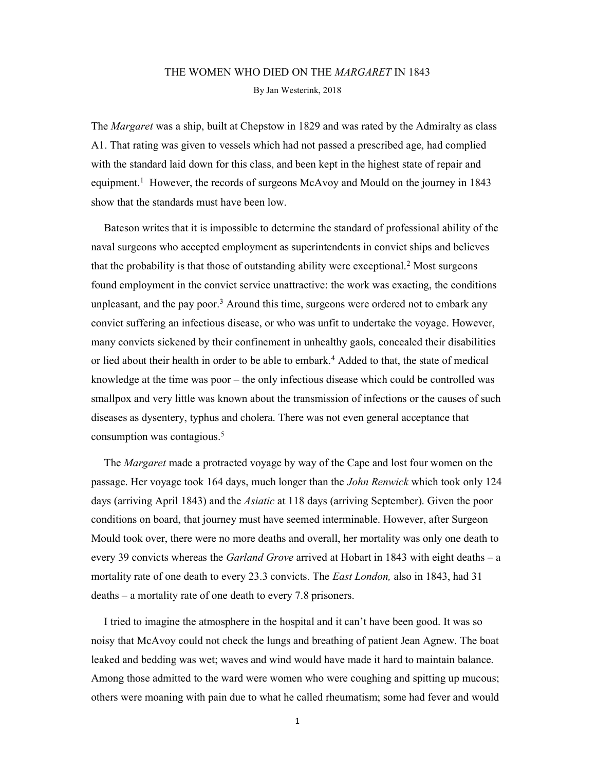# THE WOMEN WHO DIED ON THE *MARGARET* IN 1843 By Jan Westerink, 2018

The *Margaret* was a ship, built at Chepstow in 1829 and was rated by the Admiralty as class A1. That rating was given to vessels which had not passed a prescribed age, had complied with the standard laid down for this class, and been kept in the highest state of repair and equipment.<sup>1</sup> However, the records of surgeons McAvoy and Mould on the journey in 1843 show that the standards must have been low.

Bateson writes that it is impossible to determine the standard of professional ability of the naval surgeons who accepted employment as superintendents in convict ships and believes that the probability is that those of outstanding ability were exceptional.<sup>2</sup> Most surgeons found employment in the convict service unattractive: the work was exacting, the conditions unpleasant, and the pay poor.<sup>3</sup> Around this time, surgeons were ordered not to embark any convict suffering an infectious disease, or who was unfit to undertake the voyage. However, many convicts sickened by their confinement in unhealthy gaols, concealed their disabilities or lied about their health in order to be able to embark.<sup>4</sup> Added to that, the state of medical knowledge at the time was poor – the only infectious disease which could be controlled was smallpox and very little was known about the transmission of infections or the causes of such diseases as dysentery, typhus and cholera. There was not even general acceptance that consumption was contagious.<sup>5</sup>

The *Margaret* made a protracted voyage by way of the Cape and lost four women on the passage. Her voyage took 164 days, much longer than the *John Renwick* which took only 124 days (arriving April 1843) and the *Asiatic* at 118 days (arriving September). Given the poor conditions on board, that journey must have seemed interminable. However, after Surgeon Mould took over, there were no more deaths and overall, her mortality was only one death to every 39 convicts whereas the *Garland Grove* arrived at Hobart in 1843 with eight deaths – a mortality rate of one death to every 23.3 convicts. The *East London*, also in 1843, had 31 deaths – a mortality rate of one death to every 7.8 prisoners.

I tried to imagine the atmosphere in the hospital and it can't have been good. It was so noisy that McAvoy could not check the lungs and breathing of patient Jean Agnew. The boat leaked and bedding was wet; waves and wind would have made it hard to maintain balance. Among those admitted to the ward were women who were coughing and spitting up mucous; others were moaning with pain due to what he called rheumatism; some had fever and would

1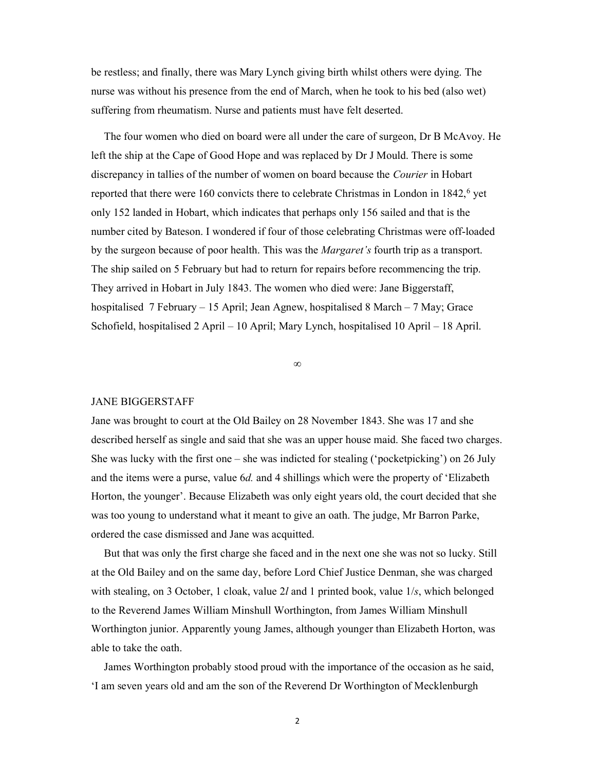be restless; and finally, there was Mary Lynch giving birth whilst others were dying. The nurse was without his presence from the end of March, when he took to his bed (also wet) suffering from rheumatism. Nurse and patients must have felt deserted.

The four women who died on board were all under the care of surgeon, Dr B McAvoy. He left the ship at the Cape of Good Hope and was replaced by Dr J Mould. There is some discrepancy in tallies of the number of women on board because the Courier in Hobart reported that there were 160 convicts there to celebrate Christmas in London in 1842,<sup>6</sup> yet only 152 landed in Hobart, which indicates that perhaps only 156 sailed and that is the number cited by Bateson. I wondered if four of those celebrating Christmas were off-loaded by the surgeon because of poor health. This was the *Margaret's* fourth trip as a transport. The ship sailed on 5 February but had to return for repairs before recommencing the trip. They arrived in Hobart in July 1843. The women who died were: Jane Biggerstaff, hospitalised 7 February – 15 April; Jean Agnew, hospitalised 8 March – 7 May; Grace Schofield, hospitalised 2 April – 10 April; Mary Lynch, hospitalised 10 April – 18 April.

∞

#### JANE BIGGERSTAFF

Jane was brought to court at the Old Bailey on 28 November 1843. She was 17 and she described herself as single and said that she was an upper house maid. She faced two charges. She was lucky with the first one – she was indicted for stealing ('pocketpicking') on 26 July and the items were a purse, value 6d. and 4 shillings which were the property of 'Elizabeth Horton, the younger'. Because Elizabeth was only eight years old, the court decided that she was too young to understand what it meant to give an oath. The judge, Mr Barron Parke, ordered the case dismissed and Jane was acquitted.

But that was only the first charge she faced and in the next one she was not so lucky. Still at the Old Bailey and on the same day, before Lord Chief Justice Denman, she was charged with stealing, on 3 October, 1 cloak, value 2l and 1 printed book, value 1/s, which belonged to the Reverend James William Minshull Worthington, from James William Minshull Worthington junior. Apparently young James, although younger than Elizabeth Horton, was able to take the oath.

James Worthington probably stood proud with the importance of the occasion as he said, 'I am seven years old and am the son of the Reverend Dr Worthington of Mecklenburgh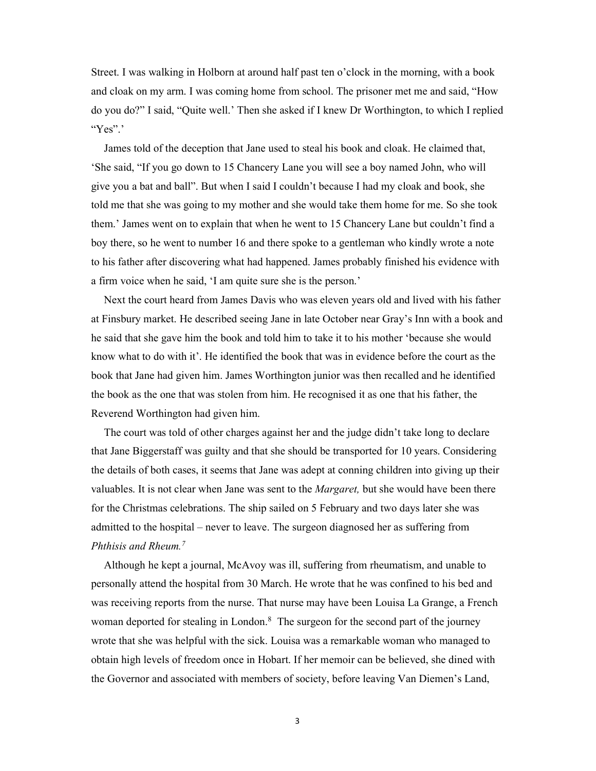Street. I was walking in Holborn at around half past ten o'clock in the morning, with a book and cloak on my arm. I was coming home from school. The prisoner met me and said, "How do you do?" I said, "Quite well.' Then she asked if I knew Dr Worthington, to which I replied "Yes".'

James told of the deception that Jane used to steal his book and cloak. He claimed that, 'She said, "If you go down to 15 Chancery Lane you will see a boy named John, who will give you a bat and ball". But when I said I couldn't because I had my cloak and book, she told me that she was going to my mother and she would take them home for me. So she took them.' James went on to explain that when he went to 15 Chancery Lane but couldn't find a boy there, so he went to number 16 and there spoke to a gentleman who kindly wrote a note to his father after discovering what had happened. James probably finished his evidence with a firm voice when he said, 'I am quite sure she is the person.'

Next the court heard from James Davis who was eleven years old and lived with his father at Finsbury market. He described seeing Jane in late October near Gray's Inn with a book and he said that she gave him the book and told him to take it to his mother 'because she would know what to do with it'. He identified the book that was in evidence before the court as the book that Jane had given him. James Worthington junior was then recalled and he identified the book as the one that was stolen from him. He recognised it as one that his father, the Reverend Worthington had given him.

The court was told of other charges against her and the judge didn't take long to declare that Jane Biggerstaff was guilty and that she should be transported for 10 years. Considering the details of both cases, it seems that Jane was adept at conning children into giving up their valuables. It is not clear when Jane was sent to the *Margaret*, but she would have been there for the Christmas celebrations. The ship sailed on 5 February and two days later she was admitted to the hospital – never to leave. The surgeon diagnosed her as suffering from Phthisis and Rheum.<sup>7</sup>

Although he kept a journal, McAvoy was ill, suffering from rheumatism, and unable to personally attend the hospital from 30 March. He wrote that he was confined to his bed and was receiving reports from the nurse. That nurse may have been Louisa La Grange, a French woman deported for stealing in London.<sup>8</sup> The surgeon for the second part of the journey wrote that she was helpful with the sick. Louisa was a remarkable woman who managed to obtain high levels of freedom once in Hobart. If her memoir can be believed, she dined with the Governor and associated with members of society, before leaving Van Diemen's Land,

3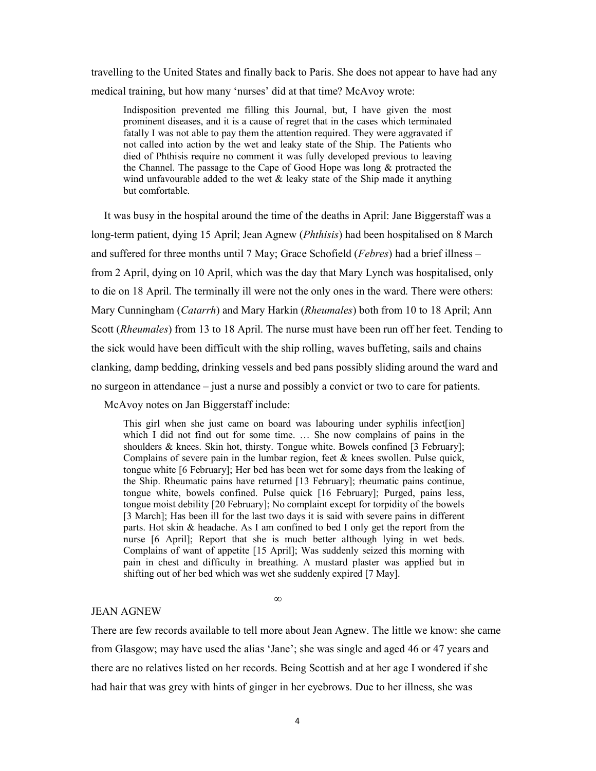travelling to the United States and finally back to Paris. She does not appear to have had any medical training, but how many 'nurses' did at that time? McAvoy wrote:

Indisposition prevented me filling this Journal, but, I have given the most prominent diseases, and it is a cause of regret that in the cases which terminated fatally I was not able to pay them the attention required. They were aggravated if not called into action by the wet and leaky state of the Ship. The Patients who died of Phthisis require no comment it was fully developed previous to leaving the Channel. The passage to the Cape of Good Hope was long & protracted the wind unfavourable added to the wet  $\&$  leaky state of the Ship made it anything but comfortable.

It was busy in the hospital around the time of the deaths in April: Jane Biggerstaff was a long-term patient, dying 15 April; Jean Agnew (*Phthisis*) had been hospitalised on 8 March and suffered for three months until 7 May; Grace Schofield (*Febres*) had a brief illness – from 2 April, dying on 10 April, which was the day that Mary Lynch was hospitalised, only to die on 18 April. The terminally ill were not the only ones in the ward. There were others: Mary Cunningham (*Catarrh*) and Mary Harkin (*Rheumales*) both from 10 to 18 April; Ann Scott (Rheumales) from 13 to 18 April. The nurse must have been run off her feet. Tending to the sick would have been difficult with the ship rolling, waves buffeting, sails and chains clanking, damp bedding, drinking vessels and bed pans possibly sliding around the ward and no surgeon in attendance – just a nurse and possibly a convict or two to care for patients.

McAvoy notes on Jan Biggerstaff include:

This girl when she just came on board was labouring under syphilis infect [ion] which I did not find out for some time. ... She now complains of pains in the shoulders & knees. Skin hot, thirsty. Tongue white. Bowels confined [3 February]; Complains of severe pain in the lumbar region, feet  $\&$  knees swollen. Pulse quick, tongue white [6 February]; Her bed has been wet for some days from the leaking of the Ship. Rheumatic pains have returned [13 February]; rheumatic pains continue, tongue white, bowels confined. Pulse quick [16 February]; Purged, pains less, tongue moist debility [20 February]; No complaint except for torpidity of the bowels [3 March]; Has been ill for the last two days it is said with severe pains in different parts. Hot skin & headache. As I am confined to bed I only get the report from the nurse [6 April]; Report that she is much better although lying in wet beds. Complains of want of appetite [15 April]; Was suddenly seized this morning with pain in chest and difficulty in breathing. A mustard plaster was applied but in shifting out of her bed which was wet she suddenly expired [7 May].

## JEAN AGNEW

There are few records available to tell more about Jean Agnew. The little we know: she came from Glasgow; may have used the alias 'Jane'; she was single and aged 46 or 47 years and there are no relatives listed on her records. Being Scottish and at her age I wondered if she had hair that was grey with hints of ginger in her eyebrows. Due to her illness, she was

∞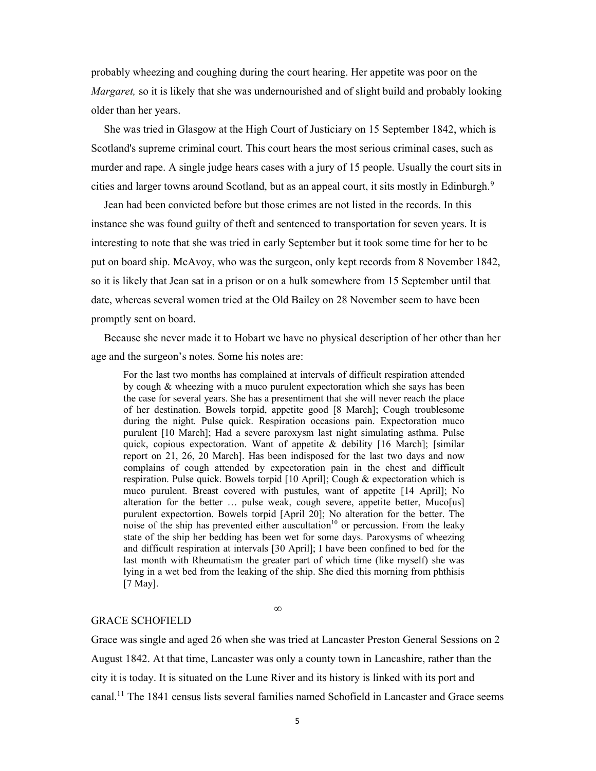probably wheezing and coughing during the court hearing. Her appetite was poor on the Margaret, so it is likely that she was undernourished and of slight build and probably looking older than her years.

She was tried in Glasgow at the High Court of Justiciary on 15 September 1842, which is Scotland's supreme criminal court. This court hears the most serious criminal cases, such as murder and rape. A single judge hears cases with a jury of 15 people. Usually the court sits in cities and larger towns around Scotland, but as an appeal court, it sits mostly in Edinburgh.<sup>9</sup>

Jean had been convicted before but those crimes are not listed in the records. In this instance she was found guilty of theft and sentenced to transportation for seven years. It is interesting to note that she was tried in early September but it took some time for her to be put on board ship. McAvoy, who was the surgeon, only kept records from 8 November 1842, so it is likely that Jean sat in a prison or on a hulk somewhere from 15 September until that date, whereas several women tried at the Old Bailey on 28 November seem to have been promptly sent on board.

Because she never made it to Hobart we have no physical description of her other than her age and the surgeon's notes. Some his notes are:

For the last two months has complained at intervals of difficult respiration attended by cough & wheezing with a muco purulent expectoration which she says has been the case for several years. She has a presentiment that she will never reach the place of her destination. Bowels torpid, appetite good [8 March]; Cough troublesome during the night. Pulse quick. Respiration occasions pain. Expectoration muco purulent [10 March]; Had a severe paroxysm last night simulating asthma. Pulse quick, copious expectoration. Want of appetite  $\&$  debility [16 March]; [similar report on 21, 26, 20 March]. Has been indisposed for the last two days and now complains of cough attended by expectoration pain in the chest and difficult respiration. Pulse quick. Bowels torpid [10 April]; Cough & expectoration which is muco purulent. Breast covered with pustules, want of appetite [14 April]; No alteration for the better ... pulse weak, cough severe, appetite better, Muco[us] purulent expectortion. Bowels torpid [April 20]; No alteration for the better. The noise of the ship has prevented either auscultation<sup>10</sup> or percussion. From the leaky state of the ship her bedding has been wet for some days. Paroxysms of wheezing and difficult respiration at intervals [30 April]; I have been confined to bed for the last month with Rheumatism the greater part of which time (like myself) she was lying in a wet bed from the leaking of the ship. She died this morning from phthisis [7 May].

## GRACE SCHOFIELD

Grace was single and aged 26 when she was tried at Lancaster Preston General Sessions on 2 August 1842. At that time, Lancaster was only a county town in Lancashire, rather than the city it is today. It is situated on the Lune River and its history is linked with its port and canal.11 The 1841 census lists several families named Schofield in Lancaster and Grace seems

∞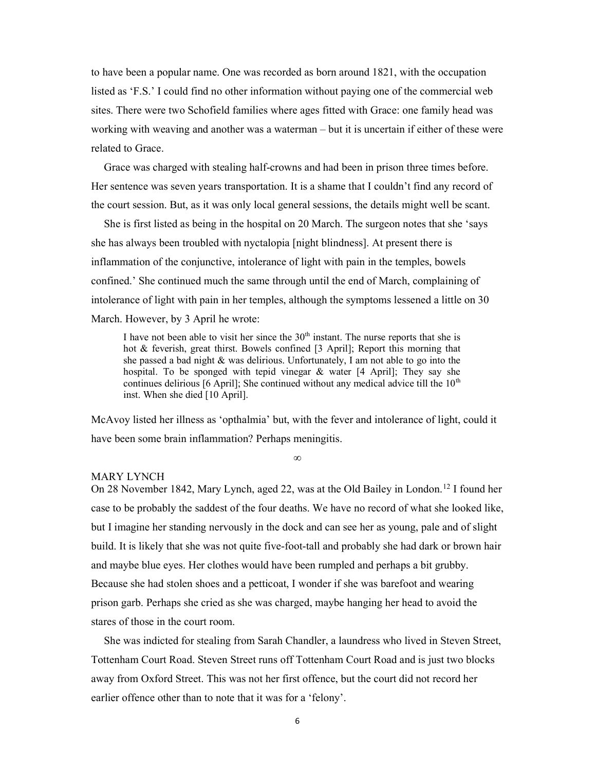to have been a popular name. One was recorded as born around 1821, with the occupation listed as 'F.S.' I could find no other information without paying one of the commercial web sites. There were two Schofield families where ages fitted with Grace: one family head was working with weaving and another was a waterman – but it is uncertain if either of these were related to Grace.

Grace was charged with stealing half-crowns and had been in prison three times before. Her sentence was seven years transportation. It is a shame that I couldn't find any record of the court session. But, as it was only local general sessions, the details might well be scant.

She is first listed as being in the hospital on 20 March. The surgeon notes that she 'says she has always been troubled with nyctalopia [night blindness]. At present there is inflammation of the conjunctive, intolerance of light with pain in the temples, bowels confined.' She continued much the same through until the end of March, complaining of intolerance of light with pain in her temples, although the symptoms lessened a little on 30 March. However, by 3 April he wrote:

I have not been able to visit her since the  $30<sup>th</sup>$  instant. The nurse reports that she is hot & feverish, great thirst. Bowels confined [3 April]; Report this morning that she passed a bad night & was delirious. Unfortunately, I am not able to go into the hospital. To be sponged with tepid vinegar & water [4 April]; They say she continues delirious [6 April]; She continued without any medical advice till the  $10<sup>th</sup>$ inst. When she died [10 April].

McAvoy listed her illness as 'opthalmia' but, with the fever and intolerance of light, could it have been some brain inflammation? Perhaps meningitis.

∞

#### MARY LYNCH

On 28 November 1842, Mary Lynch, aged 22, was at the Old Bailey in London.<sup>12</sup> I found her case to be probably the saddest of the four deaths. We have no record of what she looked like, but I imagine her standing nervously in the dock and can see her as young, pale and of slight build. It is likely that she was not quite five-foot-tall and probably she had dark or brown hair and maybe blue eyes. Her clothes would have been rumpled and perhaps a bit grubby. Because she had stolen shoes and a petticoat, I wonder if she was barefoot and wearing prison garb. Perhaps she cried as she was charged, maybe hanging her head to avoid the stares of those in the court room.

She was indicted for stealing from Sarah Chandler, a laundress who lived in Steven Street, Tottenham Court Road. Steven Street runs off Tottenham Court Road and is just two blocks away from Oxford Street. This was not her first offence, but the court did not record her earlier offence other than to note that it was for a 'felony'.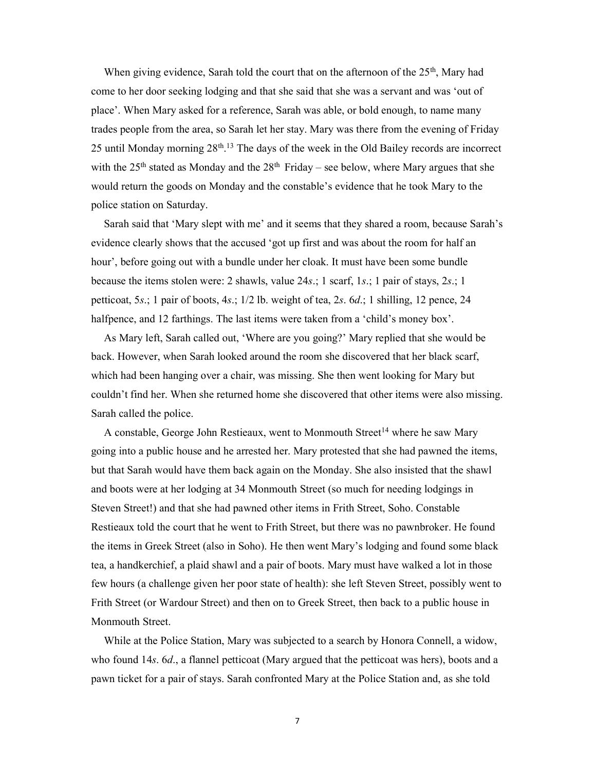When giving evidence, Sarah told the court that on the afternoon of the  $25<sup>th</sup>$ , Mary had come to her door seeking lodging and that she said that she was a servant and was 'out of place'. When Mary asked for a reference, Sarah was able, or bold enough, to name many trades people from the area, so Sarah let her stay. Mary was there from the evening of Friday 25 until Monday morning  $28<sup>th,13</sup>$  The days of the week in the Old Bailey records are incorrect with the 25<sup>th</sup> stated as Monday and the 28<sup>th</sup> Friday – see below, where Mary argues that she would return the goods on Monday and the constable's evidence that he took Mary to the police station on Saturday.

Sarah said that 'Mary slept with me' and it seems that they shared a room, because Sarah's evidence clearly shows that the accused 'got up first and was about the room for half an hour', before going out with a bundle under her cloak. It must have been some bundle because the items stolen were: 2 shawls, value 24s.; 1 scarf, 1s.; 1 pair of stays, 2s.; 1 petticoat, 5s.; 1 pair of boots, 4s.; 1/2 lb. weight of tea, 2s. 6d.; 1 shilling, 12 pence, 24 halfpence, and 12 farthings. The last items were taken from a 'child's money box'.

As Mary left, Sarah called out, 'Where are you going?' Mary replied that she would be back. However, when Sarah looked around the room she discovered that her black scarf, which had been hanging over a chair, was missing. She then went looking for Mary but couldn't find her. When she returned home she discovered that other items were also missing. Sarah called the police.

A constable, George John Restieaux, went to Monmouth Street<sup>14</sup> where he saw Mary going into a public house and he arrested her. Mary protested that she had pawned the items, but that Sarah would have them back again on the Monday. She also insisted that the shawl and boots were at her lodging at 34 Monmouth Street (so much for needing lodgings in Steven Street!) and that she had pawned other items in Frith Street, Soho. Constable Restieaux told the court that he went to Frith Street, but there was no pawnbroker. He found the items in Greek Street (also in Soho). He then went Mary's lodging and found some black tea, a handkerchief, a plaid shawl and a pair of boots. Mary must have walked a lot in those few hours (a challenge given her poor state of health): she left Steven Street, possibly went to Frith Street (or Wardour Street) and then on to Greek Street, then back to a public house in Monmouth Street.

While at the Police Station, Mary was subjected to a search by Honora Connell, a widow, who found 14s. 6d., a flannel petticoat (Mary argued that the petticoat was hers), boots and a pawn ticket for a pair of stays. Sarah confronted Mary at the Police Station and, as she told

7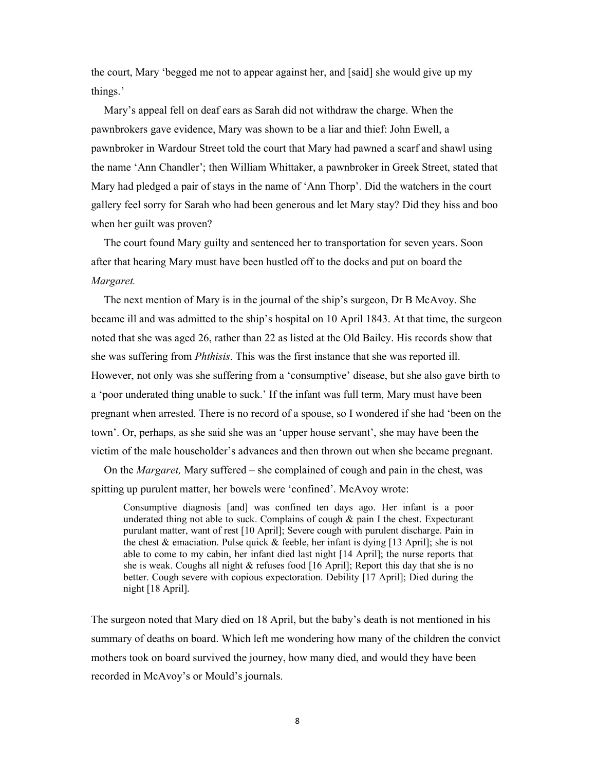the court, Mary 'begged me not to appear against her, and [said] she would give up my things.'

Mary's appeal fell on deaf ears as Sarah did not withdraw the charge. When the pawnbrokers gave evidence, Mary was shown to be a liar and thief: John Ewell, a pawnbroker in Wardour Street told the court that Mary had pawned a scarf and shawl using the name 'Ann Chandler'; then William Whittaker, a pawnbroker in Greek Street, stated that Mary had pledged a pair of stays in the name of 'Ann Thorp'. Did the watchers in the court gallery feel sorry for Sarah who had been generous and let Mary stay? Did they hiss and boo when her guilt was proven?

The court found Mary guilty and sentenced her to transportation for seven years. Soon after that hearing Mary must have been hustled off to the docks and put on board the Margaret.

The next mention of Mary is in the journal of the ship's surgeon, Dr B McAvoy. She became ill and was admitted to the ship's hospital on 10 April 1843. At that time, the surgeon noted that she was aged 26, rather than 22 as listed at the Old Bailey. His records show that she was suffering from Phthisis. This was the first instance that she was reported ill. However, not only was she suffering from a 'consumptive' disease, but she also gave birth to a 'poor underated thing unable to suck.' If the infant was full term, Mary must have been pregnant when arrested. There is no record of a spouse, so I wondered if she had 'been on the town'. Or, perhaps, as she said she was an 'upper house servant', she may have been the victim of the male householder's advances and then thrown out when she became pregnant.

On the Margaret, Mary suffered – she complained of cough and pain in the chest, was spitting up purulent matter, her bowels were 'confined'. McAvoy wrote:

Consumptive diagnosis [and] was confined ten days ago. Her infant is a poor underated thing not able to suck. Complains of cough  $\&$  pain I the chest. Expecturant purulant matter, want of rest [10 April]; Severe cough with purulent discharge. Pain in the chest & emaciation. Pulse quick  $\&$  feeble, her infant is dying [13 April]; she is not able to come to my cabin, her infant died last night [14 April]; the nurse reports that she is weak. Coughs all night & refuses food [16 April]; Report this day that she is no better. Cough severe with copious expectoration. Debility [17 April]; Died during the night [18 April].

The surgeon noted that Mary died on 18 April, but the baby's death is not mentioned in his summary of deaths on board. Which left me wondering how many of the children the convict mothers took on board survived the journey, how many died, and would they have been recorded in McAvoy's or Mould's journals.